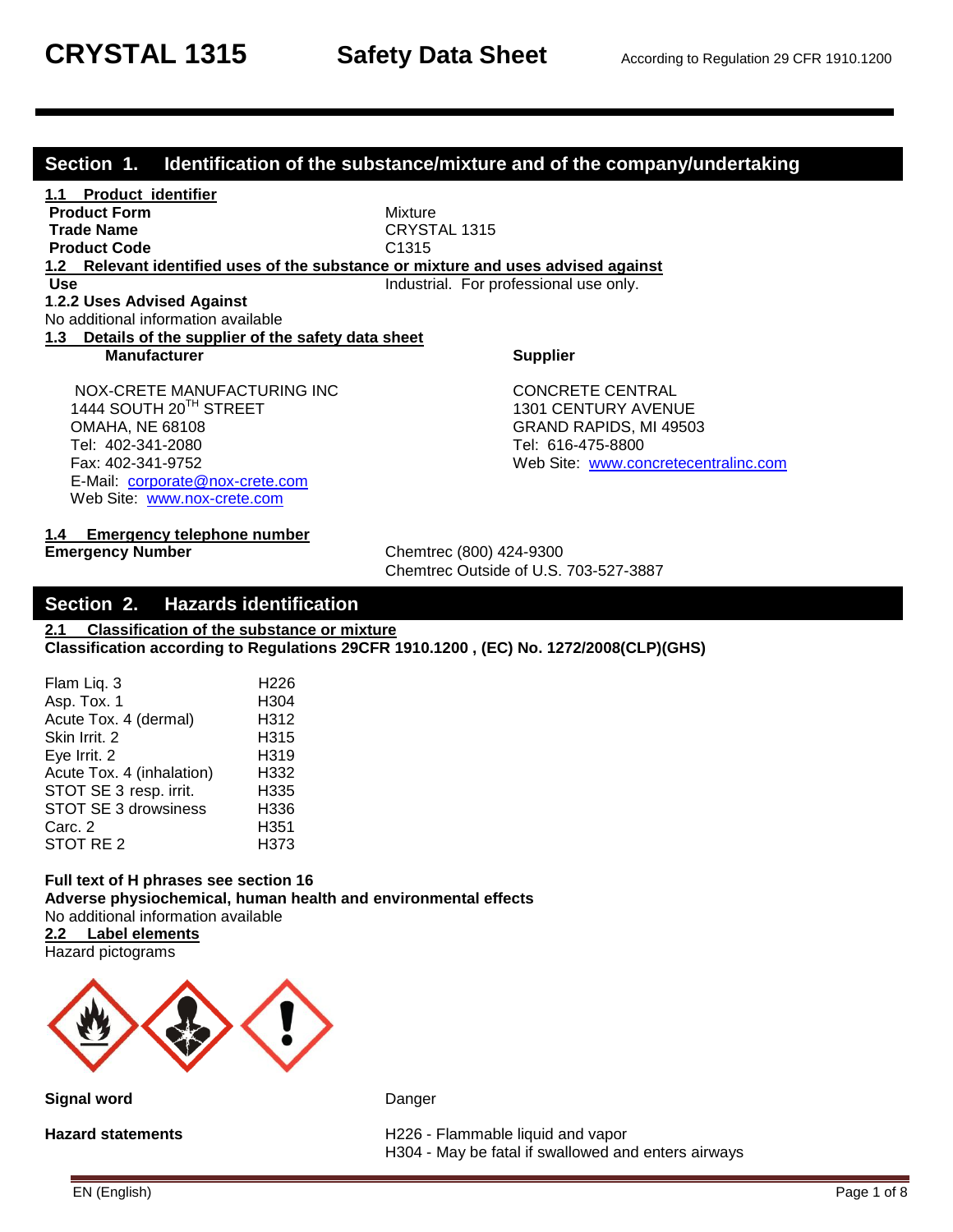### **Section 1. Identification of the substance/mixture and of the company/undertaking**

**1.1 Product identifier Product Form Mixture Trade Name** CRYSTAL 1315 **Product Code** C1315 **1.2 Relevant identified uses of the substance or mixture and uses advised against Use Industrial.** For professional use only. **1**.**2.2 Uses Advised Against** No additional information available **1.3 Details of the supplier of the safety data sheet Manufacturer Supplier** Supplier NOX-CRETE MANUFACTURING INC CONCRETE CENTRAL 1444 SOUTH 20<sup>TH</sup> STREET 1301 CENTURY AVENUE OMAHA, NE 68108 GRAND RAPIDS, MI 49503

Tel: 616-475-8800 Fax: 402-341-9752 Web Site: [www.concretecentralinc.com](file://kmcdc02/Users/dave/My%20Documents/1%20%20NEW%20SDS/US%20SDS%20NEW%20FORMAT/ENGLISH/PRIVATE%20LABEL%20IN%20WORD/www.concretecentralinc.com)

### **1.4 Emergency telephone number**

 E-Mail: [corporate@nox-crete.com](mailto:corperate@nox-crete.com) Web Site: [www.nox-crete.com](http://www.nox-crete.com/)

**Emergency Number** Chemtrec (800) 424-9300 Chemtrec Outside of U.S. 703-527-3887

### **Section 2. Hazards identification**

**2.1 Classification of the substance or mixture Classification according to Regulations 29CFR 1910.1200 , (EC) No. 1272/2008(CLP)(GHS)**

| Flam Liq. 3                 | H <sub>226</sub> |
|-----------------------------|------------------|
| Asp. Tox. 1                 | H304             |
| Acute Tox. 4 (dermal)       | H312             |
| Skin Irrit. 2               | H315             |
| Eye Irrit. 2                | H319             |
| Acute Tox. 4 (inhalation)   | H332             |
| STOT SE 3 resp. irrit.      | H335             |
| <b>STOT SE 3 drowsiness</b> | H336             |
| Carc. 2                     | H351             |
| STOT RE <sub>2</sub>        | H373             |

#### **Full text of H phrases see section 16 Adverse physiochemical, human health and environmental effects** No additional information available

**2.2 Label elements** Hazard pictograms



**Signal word** Danger

Hazard statements **H226** - Flammable liquid and vapor H304 - May be fatal if swallowed and enters airways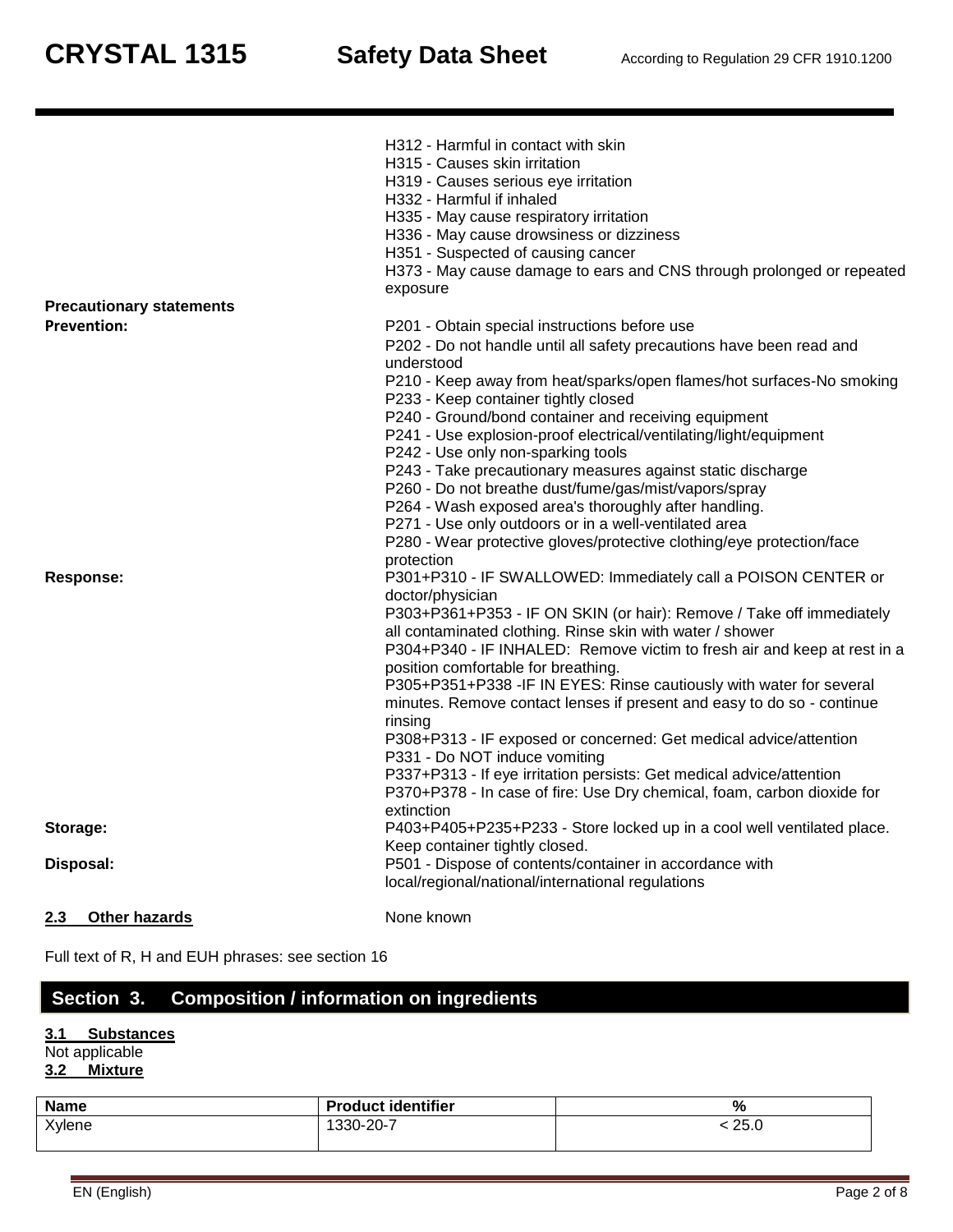| 2.3<br><b>Other hazards</b>     | None known                                                                                                                                                    |
|---------------------------------|---------------------------------------------------------------------------------------------------------------------------------------------------------------|
| Disposal:                       | P501 - Dispose of contents/container in accordance with<br>local/regional/national/international regulations                                                  |
| Storage:                        | P403+P405+P235+P233 - Store locked up in a cool well ventilated place.<br>Keep container tightly closed.                                                      |
|                                 | P337+P313 - If eye irritation persists: Get medical advice/attention<br>P370+P378 - In case of fire: Use Dry chemical, foam, carbon dioxide for<br>extinction |
|                                 | P331 - Do NOT induce vomiting                                                                                                                                 |
|                                 | rinsing<br>P308+P313 - IF exposed or concerned: Get medical advice/attention                                                                                  |
|                                 | minutes. Remove contact lenses if present and easy to do so - continue                                                                                        |
|                                 | P305+P351+P338 - IF IN EYES: Rinse cautiously with water for several                                                                                          |
|                                 | position comfortable for breathing.                                                                                                                           |
|                                 | all contaminated clothing. Rinse skin with water / shower<br>P304+P340 - IF INHALED: Remove victim to fresh air and keep at rest in a                         |
|                                 | P303+P361+P353 - IF ON SKIN (or hair): Remove / Take off immediately                                                                                          |
|                                 | doctor/physician                                                                                                                                              |
| Response:                       | P301+P310 - IF SWALLOWED: Immediately call a POISON CENTER or                                                                                                 |
|                                 | P280 - Wear protective gloves/protective clothing/eye protection/face<br>protection                                                                           |
|                                 | P271 - Use only outdoors or in a well-ventilated area                                                                                                         |
|                                 | P264 - Wash exposed area's thoroughly after handling.                                                                                                         |
|                                 | P260 - Do not breathe dust/fume/gas/mist/vapors/spray                                                                                                         |
|                                 | P243 - Take precautionary measures against static discharge                                                                                                   |
|                                 | P242 - Use only non-sparking tools                                                                                                                            |
|                                 | P241 - Use explosion-proof electrical/ventilating/light/equipment                                                                                             |
|                                 | P233 - Keep container tightly closed<br>P240 - Ground/bond container and receiving equipment                                                                  |
|                                 | P210 - Keep away from heat/sparks/open flames/hot surfaces-No smoking                                                                                         |
|                                 | understood                                                                                                                                                    |
|                                 | P202 - Do not handle until all safety precautions have been read and                                                                                          |
| <b>Prevention:</b>              | P201 - Obtain special instructions before use                                                                                                                 |
| <b>Precautionary statements</b> |                                                                                                                                                               |
|                                 | exposure                                                                                                                                                      |
|                                 | H373 - May cause damage to ears and CNS through prolonged or repeated                                                                                         |
|                                 | H336 - May cause drowsiness or dizziness<br>H351 - Suspected of causing cancer                                                                                |
|                                 | H335 - May cause respiratory irritation                                                                                                                       |
|                                 | H332 - Harmful if inhaled                                                                                                                                     |
|                                 | H319 - Causes serious eye irritation                                                                                                                          |
|                                 | H315 - Causes skin irritation                                                                                                                                 |
|                                 | H312 - Harmful in contact with skin                                                                                                                           |
|                                 |                                                                                                                                                               |

Full text of R, H and EUH phrases: see section 16

# **Section 3. Composition / information on ingredients**

### **3.1 Substances**

Not applicable

# **3.2 Mixture**

| <b>Name</b> | <b>Product identifier</b> | 07<br>7٥         |
|-------------|---------------------------|------------------|
| Xylene      | 20-7-<br>$'330-$          | つに<br>ZJ.U<br>__ |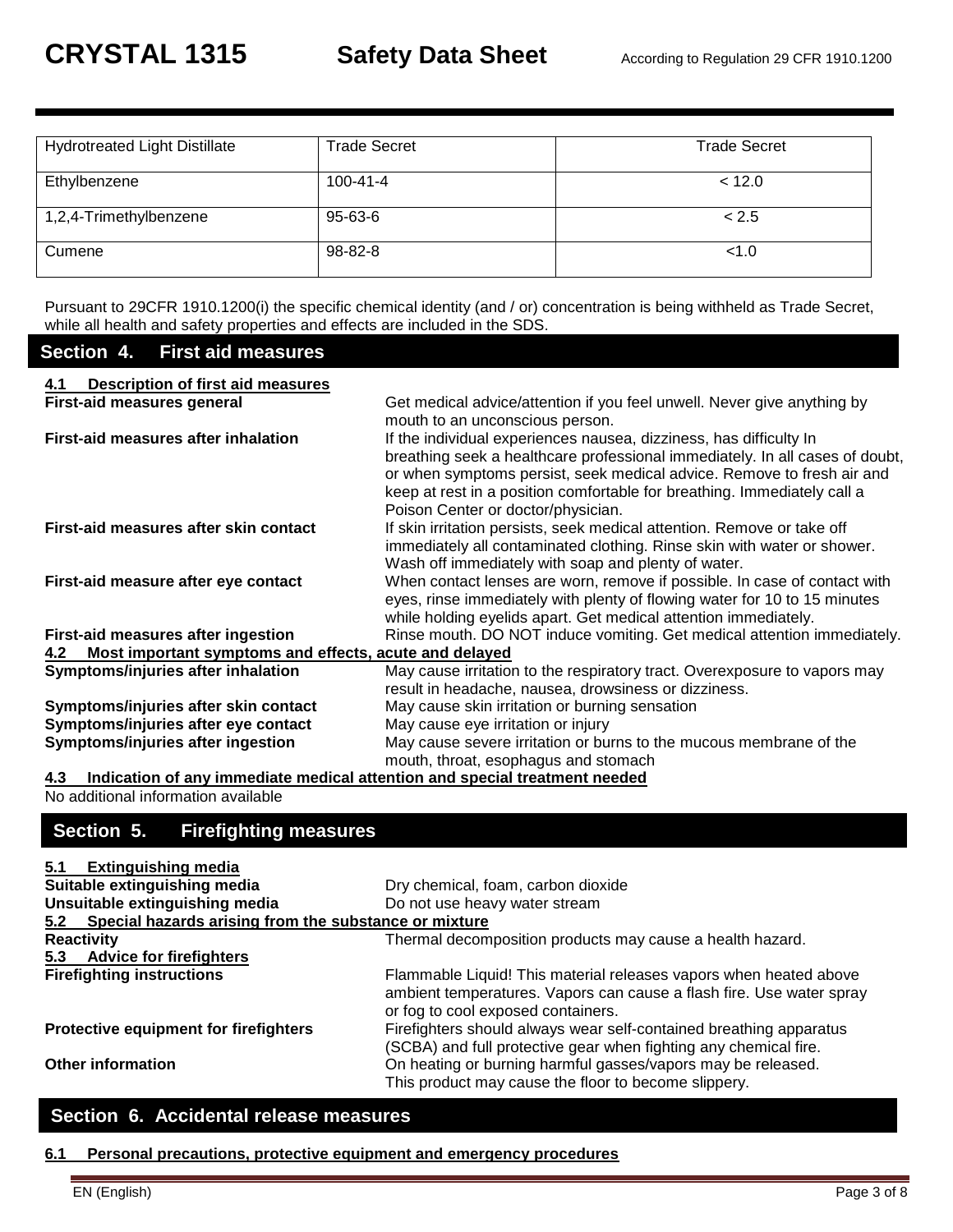| <b>Hydrotreated Light Distillate</b> | <b>Trade Secret</b> | <b>Trade Secret</b> |
|--------------------------------------|---------------------|---------------------|
| Ethylbenzene                         | $100 - 41 - 4$      | < 12.0              |
| 1,2,4-Trimethylbenzene               | 95-63-6             | < 2.5               |
| Cumene                               | 98-82-8             | < 1.0               |

Pursuant to 29CFR 1910.1200(i) the specific chemical identity (and / or) concentration is being withheld as Trade Secret, while all health and safety properties and effects are included in the SDS.

### **Section 4. First aid measures**

| Description of first aid measures<br>4.1                      |                                                                                                                                                                                                                                                                                                                                                |
|---------------------------------------------------------------|------------------------------------------------------------------------------------------------------------------------------------------------------------------------------------------------------------------------------------------------------------------------------------------------------------------------------------------------|
| First-aid measures general                                    | Get medical advice/attention if you feel unwell. Never give anything by<br>mouth to an unconscious person.                                                                                                                                                                                                                                     |
| First-aid measures after inhalation                           | If the individual experiences nausea, dizziness, has difficulty In<br>breathing seek a healthcare professional immediately. In all cases of doubt,<br>or when symptoms persist, seek medical advice. Remove to fresh air and<br>keep at rest in a position comfortable for breathing. Immediately call a<br>Poison Center or doctor/physician. |
| First-aid measures after skin contact                         | If skin irritation persists, seek medical attention. Remove or take off<br>immediately all contaminated clothing. Rinse skin with water or shower.<br>Wash off immediately with soap and plenty of water.                                                                                                                                      |
| First-aid measure after eye contact                           | When contact lenses are worn, remove if possible. In case of contact with<br>eyes, rinse immediately with plenty of flowing water for 10 to 15 minutes<br>while holding eyelids apart. Get medical attention immediately.                                                                                                                      |
| First-aid measures after ingestion                            | Rinse mouth. DO NOT induce vomiting. Get medical attention immediately.                                                                                                                                                                                                                                                                        |
| Most important symptoms and effects, acute and delayed<br>4.2 |                                                                                                                                                                                                                                                                                                                                                |
| Symptoms/injuries after inhalation                            | May cause irritation to the respiratory tract. Overexposure to vapors may<br>result in headache, nausea, drowsiness or dizziness.                                                                                                                                                                                                              |
| Symptoms/injuries after skin contact                          | May cause skin irritation or burning sensation                                                                                                                                                                                                                                                                                                 |
| Symptoms/injuries after eye contact                           | May cause eye irritation or injury                                                                                                                                                                                                                                                                                                             |
| Symptoms/injuries after ingestion                             | May cause severe irritation or burns to the mucous membrane of the<br>mouth, throat, esophagus and stomach                                                                                                                                                                                                                                     |

**4.3 Indication of any immediate medical attention and special treatment needed** No additional information available

# **Section 5. Firefighting measures**

### **5.1 Extinguishing media**

| Suitable extinguishing media                              | Dry chemical, foam, carbon dioxide                                                                                                                                              |
|-----------------------------------------------------------|---------------------------------------------------------------------------------------------------------------------------------------------------------------------------------|
| Unsuitable extinguishing media                            | Do not use heavy water stream                                                                                                                                                   |
| 5.2 Special hazards arising from the substance or mixture |                                                                                                                                                                                 |
| <b>Reactivity</b>                                         | Thermal decomposition products may cause a health hazard.                                                                                                                       |
| <b>Advice for firefighters</b><br>5.3                     |                                                                                                                                                                                 |
| <b>Firefighting instructions</b>                          | Flammable Liquid! This material releases vapors when heated above<br>ambient temperatures. Vapors can cause a flash fire. Use water spray<br>or fog to cool exposed containers. |
| <b>Protective equipment for firefighters</b>              | Firefighters should always wear self-contained breathing apparatus<br>(SCBA) and full protective gear when fighting any chemical fire.                                          |
| <b>Other information</b>                                  | On heating or burning harmful gasses/vapors may be released.<br>This product may cause the floor to become slippery.                                                            |

### **Section 6. Accidental release measures**

#### **6.1 Personal precautions, protective equipment and emergency procedures**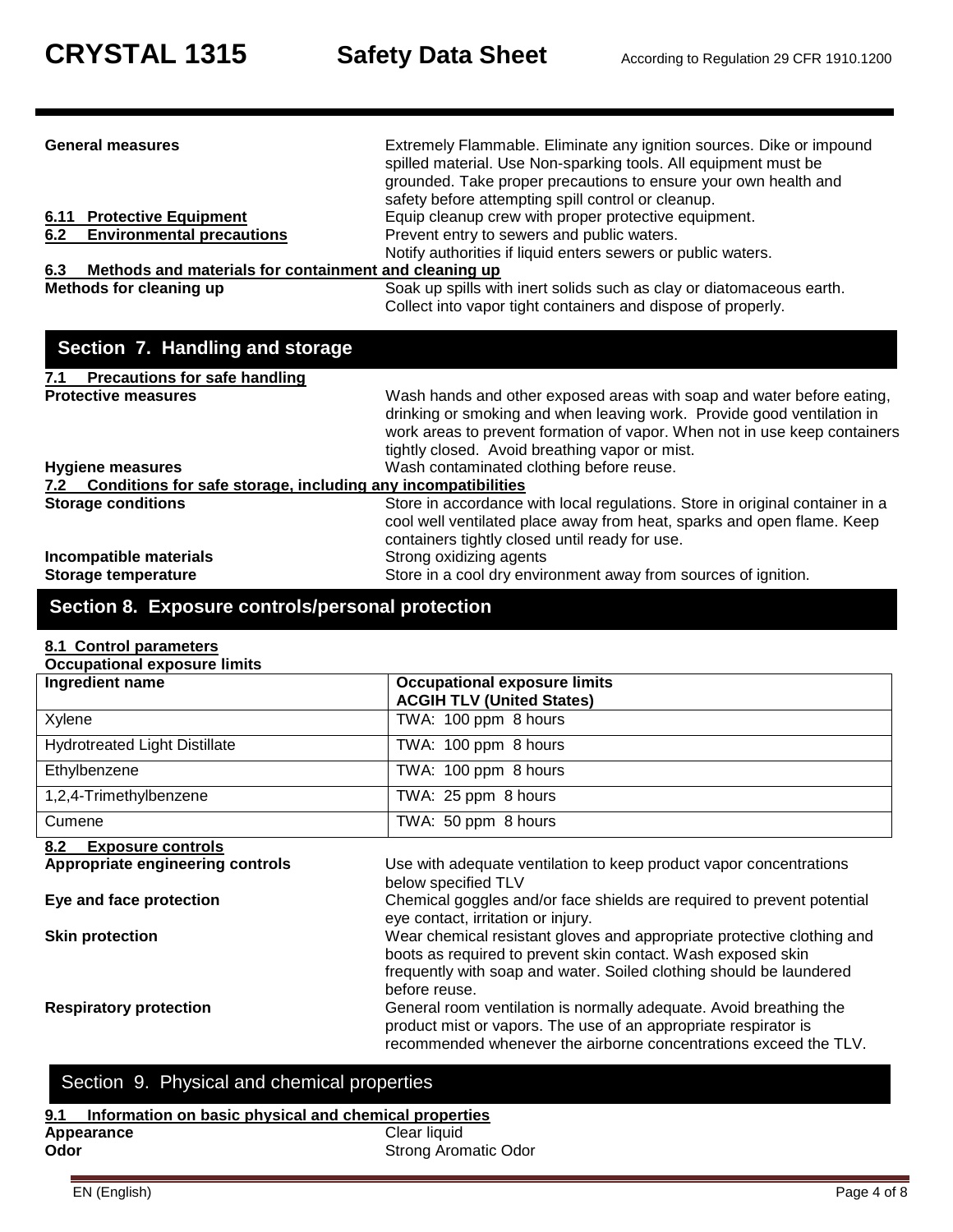| <b>General measures</b>                                                        | Extremely Flammable. Eliminate any ignition sources. Dike or impound<br>spilled material. Use Non-sparking tools. All equipment must be<br>grounded. Take proper precautions to ensure your own health and<br>safety before attempting spill control or cleanup.               |
|--------------------------------------------------------------------------------|--------------------------------------------------------------------------------------------------------------------------------------------------------------------------------------------------------------------------------------------------------------------------------|
| <b>6.11 Protective Equipment</b>                                               | Equip cleanup crew with proper protective equipment.                                                                                                                                                                                                                           |
| 6.2<br><b>Environmental precautions</b>                                        | Prevent entry to sewers and public waters.                                                                                                                                                                                                                                     |
|                                                                                | Notify authorities if liquid enters sewers or public waters.                                                                                                                                                                                                                   |
| 6.3<br>Methods and materials for containment and cleaning up                   |                                                                                                                                                                                                                                                                                |
| <b>Methods for cleaning up</b>                                                 | Soak up spills with inert solids such as clay or diatomaceous earth.                                                                                                                                                                                                           |
|                                                                                | Collect into vapor tight containers and dispose of properly.                                                                                                                                                                                                                   |
| Section 7. Handling and storage<br><b>Precautions for safe handling</b><br>7.1 |                                                                                                                                                                                                                                                                                |
| <b>Protective measures</b>                                                     | Wash hands and other exposed areas with soap and water before eating,<br>drinking or smoking and when leaving work. Provide good ventilation in<br>work areas to prevent formation of vapor. When not in use keep containers<br>tightly closed. Avoid breathing vapor or mist. |
| <b>Hygiene measures</b>                                                        | Wash contaminated clothing before reuse.                                                                                                                                                                                                                                       |
| Conditions for safe storage, including any incompatibilities<br>7.2            |                                                                                                                                                                                                                                                                                |
| <b>Storage conditions</b>                                                      | Store in accordance with local regulations. Store in original container in a<br>cool well ventilated place away from heat, sparks and open flame. Keep<br>containers tightly closed until ready for use.                                                                       |
| Incompatible materials                                                         | Strong oxidizing agents                                                                                                                                                                                                                                                        |
| Storage temperature                                                            | Store in a cool dry environment away from sources of ignition.                                                                                                                                                                                                                 |

# **Section 8. Exposure controls/personal protection**

### **8.1 Control parameters**

| <b>Occupational exposure limits</b>  |                                                                                                                                        |  |
|--------------------------------------|----------------------------------------------------------------------------------------------------------------------------------------|--|
| Ingredient name                      | <b>Occupational exposure limits</b><br><b>ACGIH TLV (United States)</b>                                                                |  |
| Xylene                               | TWA: 100 ppm 8 hours                                                                                                                   |  |
| <b>Hydrotreated Light Distillate</b> | TWA: 100 ppm 8 hours                                                                                                                   |  |
| Ethylbenzene                         | TWA: 100 ppm 8 hours                                                                                                                   |  |
| 1,2,4-Trimethylbenzene               | TWA: 25 ppm 8 hours                                                                                                                    |  |
| Cumene                               | TWA: 50 ppm 8 hours                                                                                                                    |  |
| 8.2<br><b>Exposure controls</b>      |                                                                                                                                        |  |
| Appropriate engineering controls     | Use with adequate ventilation to keep product vapor concentrations                                                                     |  |
|                                      | below specified TLV                                                                                                                    |  |
| Eye and face protection              | Chemical goggles and/or face shields are required to prevent potential<br>eye contact, irritation or injury.                           |  |
| <b>Skin protection</b>               | Wear chemical resistant gloves and appropriate protective clothing and<br>boots as required to prevent skin contact. Wash exposed skin |  |

before reuse.

frequently with soap and water. Soiled clothing should be laundered

recommended whenever the airborne concentrations exceed the TLV.

product mist or vapors. The use of an appropriate respirator is

**Respiratory protection** General room ventilation is normally adequate. Avoid breathing the

# Section 9. Physical and chemical properties

### **9.1 Information on basic physical and chemical properties**

| ----       |                             |
|------------|-----------------------------|
| Appearance | Clear liquid                |
| Odor       | <b>Strong Aromatic Odor</b> |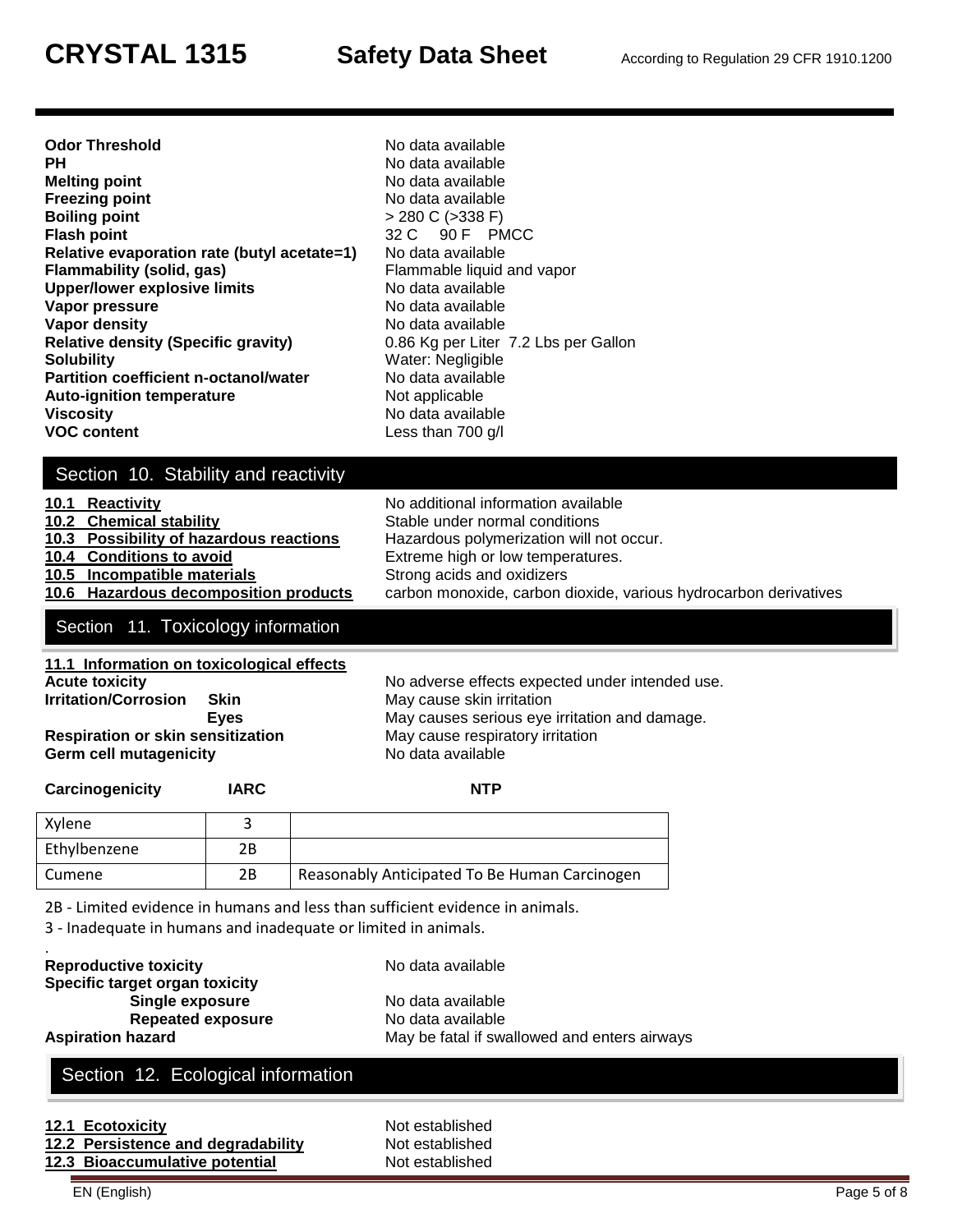| Odor Threshold<br>PН                         |
|----------------------------------------------|
| Melting point                                |
| <b>Freezing point</b>                        |
| <b>Boiling point</b>                         |
| Flash point                                  |
| Relative evaporation rate (butyl acetate=1)  |
| Flammability (solid, gas)                    |
| <b>Upper/lower explosive limits</b>          |
| Vapor pressure                               |
| Vapor density                                |
| <b>Relative density (Specific gravity)</b>   |
| Solubility                                   |
| <b>Partition coefficient n-octanol/water</b> |
| <b>Auto-ignition temperature</b>             |
| Viscosity                                    |
| <b>VOC content</b>                           |

No data available **PH** No data available **Melting point** No data available **Freezing point** No data available **Boiling point** > 280 C (>338 F) **Flash point** 32 C 90 F PMCC **No data available** Flammable liquid and vapor No data available **No data available** No data available 0.86 Kg per Liter 7.2 Lbs per Gallon **Water: Negligible No data available Not applicable Viscosity** No data available Less than 700 g/l

# Section 10. Stability and reactivity

| 10.1 Reactivity                         | No additional information available                              |
|-----------------------------------------|------------------------------------------------------------------|
| 10.2 Chemical stability                 | Stable under normal conditions                                   |
| 10.3 Possibility of hazardous reactions | Hazardous polymerization will not occur.                         |
| 10.4 Conditions to avoid                | Extreme high or low temperatures.                                |
| 10.5 Incompatible materials             | Strong acids and oxidizers                                       |
| 10.6 Hazardous decomposition products   | carbon monoxide, carbon dioxide, various hydrocarbon derivatives |
|                                         |                                                                  |

#### Section 11. Toxicology information

| 11.1 Information on toxicological effects |             |
|-------------------------------------------|-------------|
| <b>Acute toxicity</b>                     |             |
| <b>Irritation/Corrosion</b>               | . Skin      |
|                                           | <b>Eves</b> |
| <b>Respiration or skin sensitization</b>  |             |
| <b>Germ cell mutagenicity</b>             |             |

No adverse effects expected under intended use. **May cause skin irritation** May causes serious eye irritation and damage. **May cause respiratory irritation** No data available

| Carcinogenicity | IARC | <b>NTP</b>                                    |
|-----------------|------|-----------------------------------------------|
| Xylene          |      |                                               |
| Ethylbenzene    | 2В   |                                               |
| Cumene          | 2В   | Reasonably Anticipated To Be Human Carcinogen |

2B - Limited evidence in humans and less than sufficient evidence in animals.

3 - Inadequate in humans and inadequate or limited in animals.

| <b>Reproductive toxicity</b>   | No data available                            |
|--------------------------------|----------------------------------------------|
| Specific target organ toxicity |                                              |
| Single exposure                | No data available                            |
| <b>Repeated exposure</b>       | No data available                            |
| <b>Aspiration hazard</b>       | May be fatal if swallowed and enters airways |
|                                |                                              |

## Section 12. Ecological information

| 12.1 Ecotoxicity                   | Not established |
|------------------------------------|-----------------|
| 12.2 Persistence and degradability | Not established |
| 12.3 Bioaccumulative potential     | Not established |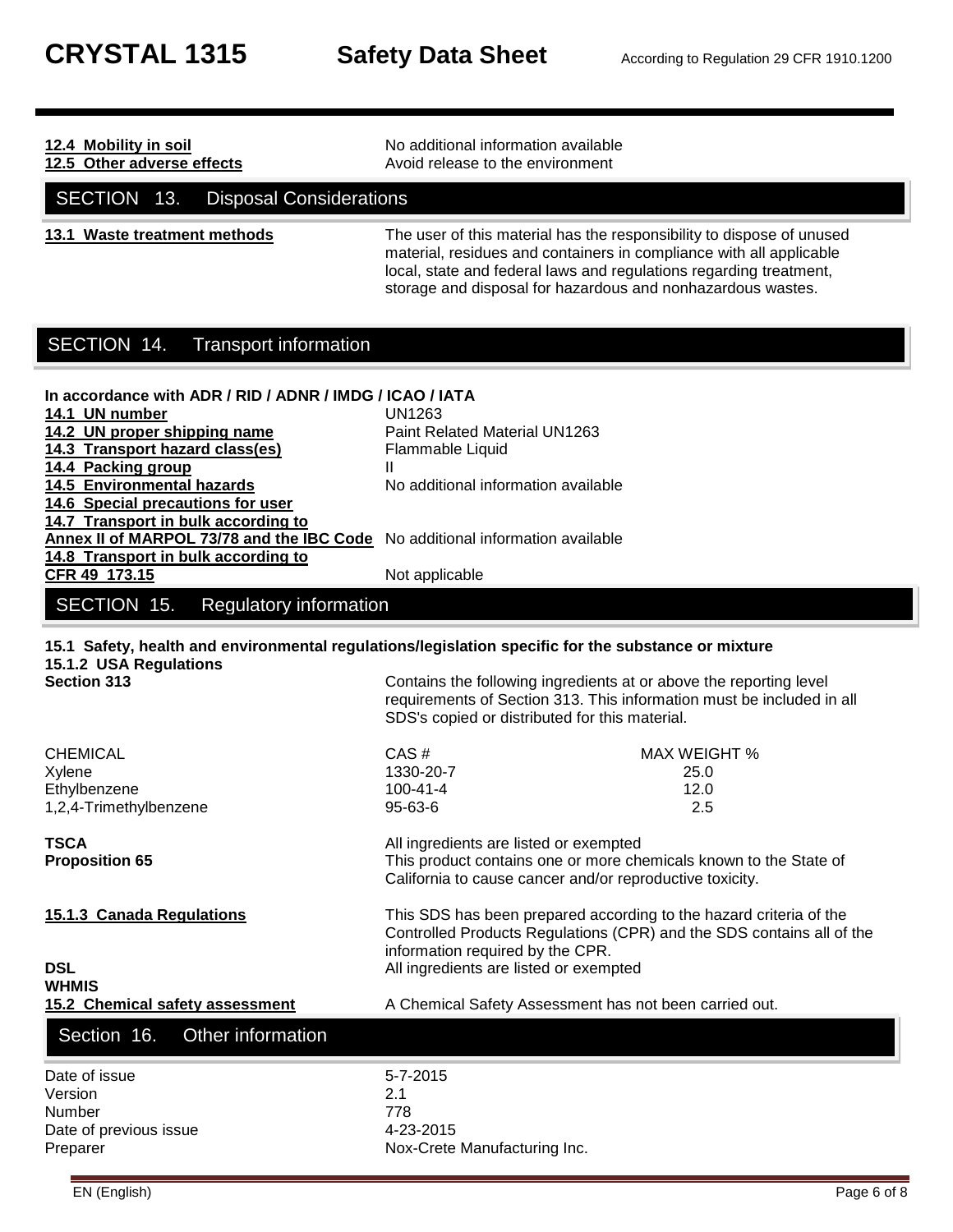| 12.4 Mobility in soil                                                                                                                                                                                                                         | No additional information available                                                                                                                                                                                                                                                                  |
|-----------------------------------------------------------------------------------------------------------------------------------------------------------------------------------------------------------------------------------------------|------------------------------------------------------------------------------------------------------------------------------------------------------------------------------------------------------------------------------------------------------------------------------------------------------|
| 12.5 Other adverse effects                                                                                                                                                                                                                    | Avoid release to the environment                                                                                                                                                                                                                                                                     |
| SECTION 13.<br><b>Disposal Considerations</b>                                                                                                                                                                                                 |                                                                                                                                                                                                                                                                                                      |
| 13.1 Waste treatment methods                                                                                                                                                                                                                  | The user of this material has the responsibility to dispose of unused<br>material, residues and containers in compliance with all applicable<br>local, state and federal laws and regulations regarding treatment,<br>storage and disposal for hazardous and nonhazardous wastes.                    |
| SECTION 14.<br><b>Transport information</b>                                                                                                                                                                                                   |                                                                                                                                                                                                                                                                                                      |
| In accordance with ADR / RID / ADNR / IMDG / ICAO / IATA<br>14.1 UN number<br>14.2 UN proper shipping name<br>14.3 Transport hazard class(es)<br>14.4 Packing group<br><b>14.5 Environmental hazards</b><br>14.6 Special precautions for user | UN1263<br>Paint Related Material UN1263<br>Flammable Liquid<br>Ш<br>No additional information available                                                                                                                                                                                              |
| 14.7 Transport in bulk according to<br>Annex II of MARPOL 73/78 and the IBC Code No additional information available<br>14.8 Transport in bulk according to<br>CFR 49 173.15                                                                  | Not applicable                                                                                                                                                                                                                                                                                       |
| SECTION 15.<br><b>Regulatory information</b>                                                                                                                                                                                                  |                                                                                                                                                                                                                                                                                                      |
| 15.1.2 USA Regulations<br><b>Section 313</b>                                                                                                                                                                                                  | 15.1 Safety, health and environmental regulations/legislation specific for the substance or mixture<br>Contains the following ingredients at or above the reporting level<br>requirements of Section 313. This information must be included in all<br>SDS's copied or distributed for this material. |
| <b>CHEMICAL</b><br>Xylene<br>Ethylbenzene<br>1,2,4-Trimethylbenzene<br><b>TSCA</b><br><b>Proposition 65</b>                                                                                                                                   | CAS#<br><b>MAX WEIGHT %</b><br>1330-20-7<br>25.0<br>$100 - 41 - 4$<br>12.0<br>95-63-6<br>2.5<br>All ingredients are listed or exempted<br>This product contains one or more chemicals known to the State of                                                                                          |
| 15.1.3 Canada Regulations<br><b>DSL</b>                                                                                                                                                                                                       | California to cause cancer and/or reproductive toxicity.<br>This SDS has been prepared according to the hazard criteria of the<br>Controlled Products Regulations (CPR) and the SDS contains all of the<br>information required by the CPR.<br>All ingredients are listed or exempted                |
| <b>WHMIS</b>                                                                                                                                                                                                                                  |                                                                                                                                                                                                                                                                                                      |
| 15.2 Chemical safety assessment<br>Section 16.<br>Other information                                                                                                                                                                           | A Chemical Safety Assessment has not been carried out.                                                                                                                                                                                                                                               |
| Date of issue<br>Version<br>Number<br>Date of previous issue                                                                                                                                                                                  | 5-7-2015<br>2.1<br>778<br>4-23-2015                                                                                                                                                                                                                                                                  |

Nox-Crete Manufacturing Inc.

EN (English) Page 6 of 8

Date of previous issue<br>Preparer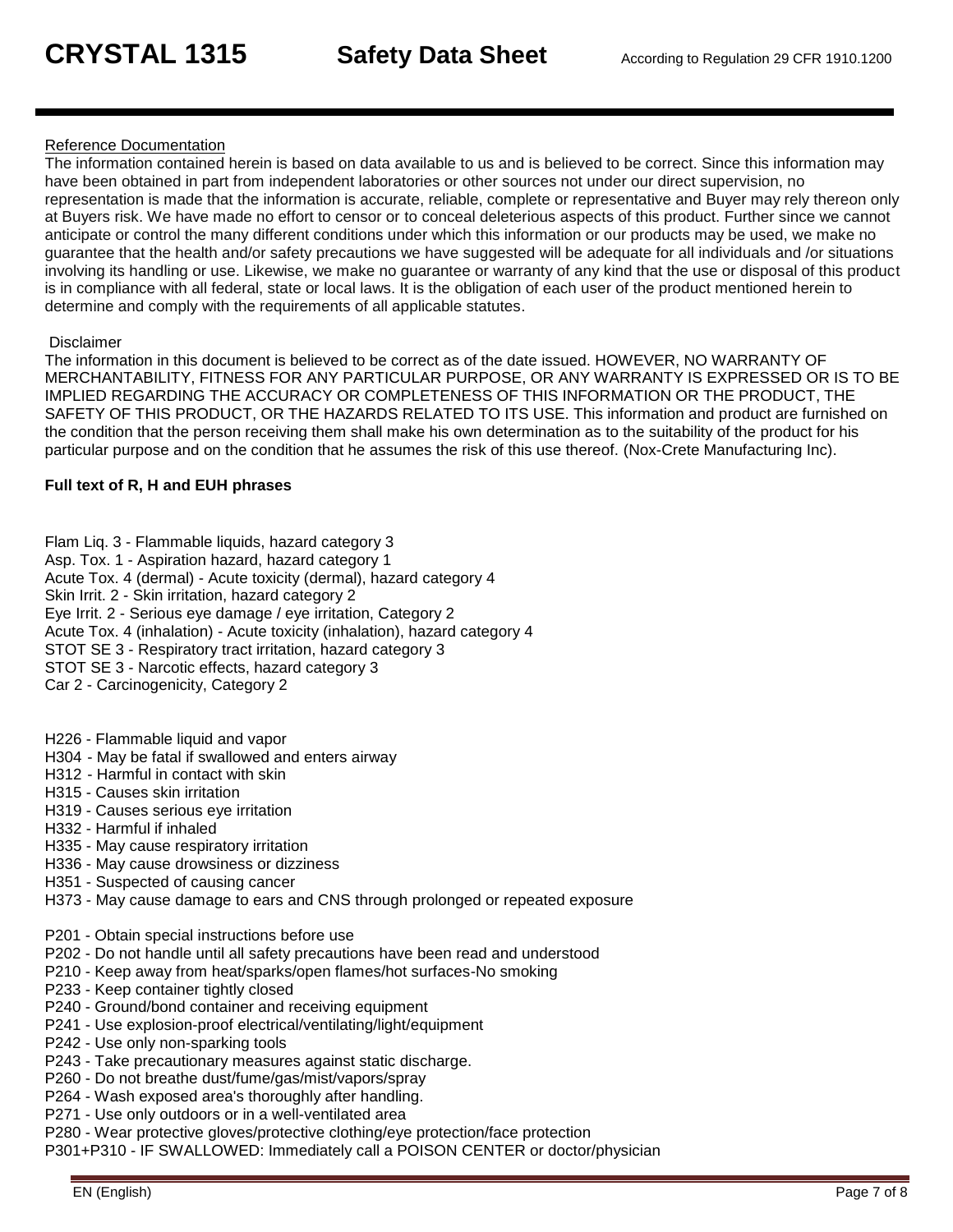#### Reference Documentation

The information contained herein is based on data available to us and is believed to be correct. Since this information may have been obtained in part from independent laboratories or other sources not under our direct supervision, no representation is made that the information is accurate, reliable, complete or representative and Buyer may rely thereon only at Buyers risk. We have made no effort to censor or to conceal deleterious aspects of this product. Further since we cannot anticipate or control the many different conditions under which this information or our products may be used, we make no guarantee that the health and/or safety precautions we have suggested will be adequate for all individuals and /or situations involving its handling or use. Likewise, we make no guarantee or warranty of any kind that the use or disposal of this product is in compliance with all federal, state or local laws. It is the obligation of each user of the product mentioned herein to determine and comply with the requirements of all applicable statutes.

#### Disclaimer

The information in this document is believed to be correct as of the date issued. HOWEVER, NO WARRANTY OF MERCHANTABILITY, FITNESS FOR ANY PARTICULAR PURPOSE, OR ANY WARRANTY IS EXPRESSED OR IS TO BE IMPLIED REGARDING THE ACCURACY OR COMPLETENESS OF THIS INFORMATION OR THE PRODUCT, THE SAFETY OF THIS PRODUCT, OR THE HAZARDS RELATED TO ITS USE. This information and product are furnished on the condition that the person receiving them shall make his own determination as to the suitability of the product for his particular purpose and on the condition that he assumes the risk of this use thereof. (Nox-Crete Manufacturing Inc).

#### **Full text of R, H and EUH phrases**

Flam Liq. 3 - Flammable liquids, hazard category 3 Asp. Tox. 1 - Aspiration hazard, hazard category 1 Acute Tox. 4 (dermal) - Acute toxicity (dermal), hazard category 4 Skin Irrit. 2 - Skin irritation, hazard category 2 Eye Irrit. 2 - Serious eye damage / eye irritation, Category 2 Acute Tox. 4 (inhalation) - Acute toxicity (inhalation), hazard category 4 STOT SE 3 - Respiratory tract irritation, hazard category 3 STOT SE 3 - Narcotic effects, hazard category 3 Car 2 - Carcinogenicity, Category 2

H226 - Flammable liquid and vapor

- H304 May be fatal if swallowed and enters airway
- H312 Harmful in contact with skin
- H315 Causes skin irritation
- H319 Causes serious eye irritation
- H332 Harmful if inhaled
- H335 May cause respiratory irritation
- H336 May cause drowsiness or dizziness
- H351 Suspected of causing cancer
- H373 May cause damage to ears and CNS through prolonged or repeated exposure
- P201 Obtain special instructions before use
- P202 Do not handle until all safety precautions have been read and understood
- P210 Keep away from heat/sparks/open flames/hot surfaces-No smoking
- P233 Keep container tightly closed
- P240 Ground/bond container and receiving equipment
- P241 Use explosion-proof electrical/ventilating/light/equipment
- P242 Use only non-sparking tools
- P243 Take precautionary measures against static discharge.
- P260 Do not breathe dust/fume/gas/mist/vapors/spray
- P264 Wash exposed area's thoroughly after handling.
- P271 Use only outdoors or in a well-ventilated area
- P280 Wear protective gloves/protective clothing/eye protection/face protection
- P301+P310 IF SWALLOWED: Immediately call a POISON CENTER or doctor/physician